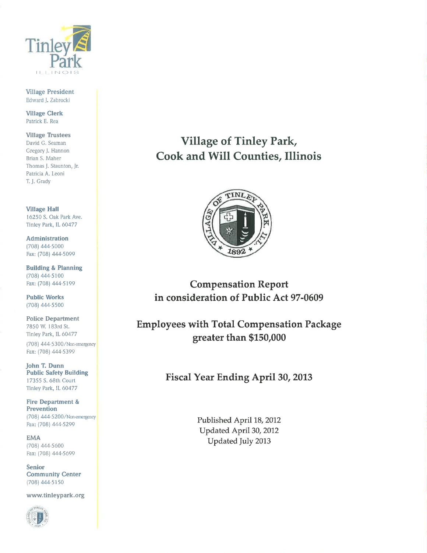

**Village President** Edward J. Zabrocki

**Village Clerk** Patrick E. Rea

**Village Trustees** David G. Seaman Gregory J. Hannon Brian S. Maher Thomas J. Staunton, Jr. Patricia A. Leoni T. J. Grady

**Village Hall** 16250 S. Oak Park Ave. Tinley Park, IL 60477

**Administration** (708) 444-5000 Fax: (708) 444-5099

**Building & Planning** (708) 444-5100 Fax: (708) 444-5199

**Public Works** (708) 444-5500

**Police Department** 7850 W. 183rd St. Tinley Park, IL 60477

(708) 444-5300/Non-emergency Fax: (708) 444-5399

John T. Dunn **Public Safety Building** 17355 S. 68th Court Tinley Park, IL 60477

**Fire Department & Prevention** (708) 444-5200/Non-emergency Fax: (708) 444-5299

**EMA** (708) 444-5600 Fax: (708) 444-5699

**Senior Community Center** (708) 444-5150

www.tinleypark.org



**Village of Tinley Park, Cook and Will Counties, Illinois** 



**Compensation Report** in consideration of Public Act 97-0609

**Employees with Total Compensation Package** greater than \$150,000

Fiscal Year Ending April 30, 2013

Published April 18, 2012 Updated April 30, 2012 Updated July 2013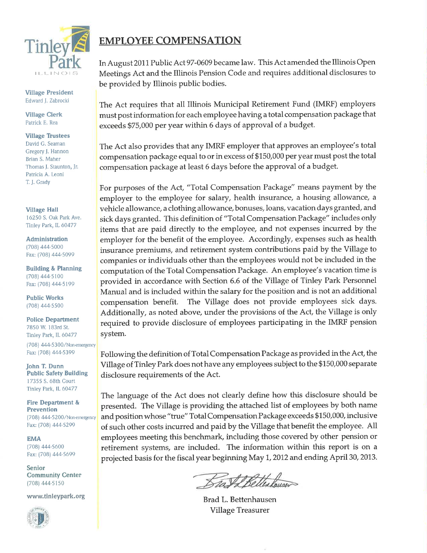

**Village President** Edward J. Zabrocki

**Village Clerk** Patrick E. Rea

**Village Trustees** David G. Seaman Gregory J. Hannon Brian S. Maher Thomas J. Staunton, Jr. Patricia A. Leoni T. J. Grady

**Village Hall** 16250 S. Oak Park Ave. Tinley Park, IL 60477

**Administration** (708) 444-5000 Fax: (708) 444-5099

**Building & Planning** (708) 444-5100 Fax: (708) 444-5199

**Public Works** (708) 444-5500

**Police Department** 7850 W. 183rd St. Tinley Park, IL 60477 (708) 444-5300/Non-emergency Fax: (708) 444-5399

John T. Dunn **Public Safety Building** 17355 S. 68th Court Tinley Park, IL 60477

**Fire Department & Prevention** (708) 444-5200/Non-emergency Fax: (708) 444-5299

**EMA**  $(708)$  444-5600 Fax: (708) 444-5699

**Senior Community Center** (708) 444-5150

www.tinleypark.org



## **EMPLOYEE COMPENSATION**

In August 2011 Public Act 97-0609 became law. This Act amended the Illinois Open Meetings Act and the Illinois Pension Code and requires additional disclosures to be provided by Illinois public bodies.

The Act requires that all Illinois Municipal Retirement Fund (IMRF) employers must post information for each employee having a total compensation package that exceeds \$75,000 per year within 6 days of approval of a budget.

The Act also provides that any IMRF employer that approves an employee's total compensation package equal to or in excess of \$150,000 per year must post the total compensation package at least 6 days before the approval of a budget.

For purposes of the Act, "Total Compensation Package" means payment by the employer to the employee for salary, health insurance, a housing allowance, a vehicle allowance, a clothing allowance, bonuses, loans, vacation days granted, and sick days granted. This definition of "Total Compensation Package" includes only items that are paid directly to the employee, and not expenses incurred by the employer for the benefit of the employee. Accordingly, expenses such as health insurance premiums, and retirement system contributions paid by the Village to companies or individuals other than the employees would not be included in the computation of the Total Compensation Package. An employee's vacation time is provided in accordance with Section 6.6 of the Village of Tinley Park Personnel Manual and is included within the salary for the position and is not an additional compensation benefit. The Village does not provide employees sick days. Additionally, as noted above, under the provisions of the Act, the Village is only required to provide disclosure of employees participating in the IMRF pension system.

Following the definition of Total Compensation Package as provided in the Act, the Village of Tinley Park does not have any employees subject to the \$150,000 separate disclosure requirements of the Act.

The language of the Act does not clearly define how this disclosure should be presented. The Village is providing the attached list of employees by both name and position whose "true" Total Compensation Package exceeds \$150,000, inclusive of such other costs incurred and paid by the Village that benefit the employee. All employees meeting this benchmark, including those covered by other pension or retirement systems, are included. The information within this report is on a projected basis for the fiscal year beginning May 1, 2012 and ending April 30, 2013.

Bast & Bettenhouser

Brad L. Bettenhausen **Village Treasurer**